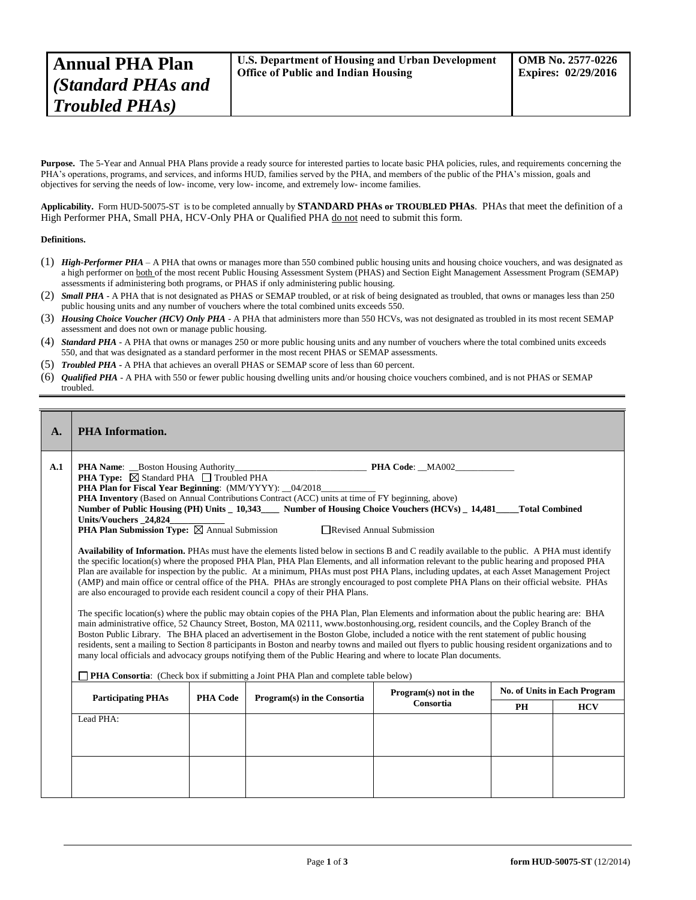Purpose. The 5-Year and Annual PHA Plans provide a ready source for interested parties to locate basic PHA policies, rules, and requirements concerning the PHA's operations, programs, and services, and informs HUD, families served by the PHA, and members of the public of the PHA's mission, goals and objectives for serving the needs of low- income, very low- income, and extremely low- income families.

**Applicability.** Form HUD-50075-ST is to be completed annually by **STANDARD PHAs or TROUBLED PHAs**. PHAs that meet the definition of a High Performer PHA, Small PHA, HCV-Only PHA or Qualified PHA do not need to submit this form.

## **Definitions.**

- (1) *High-Performer PHA* A PHA that owns or manages more than 550 combined public housing units and housing choice vouchers, and was designated as a high performer on both of the most recent Public Housing Assessment System (PHAS) and Section Eight Management Assessment Program (SEMAP) assessments if administering both programs, or PHAS if only administering public housing.
- (2) *Small PHA* A PHA that is not designated as PHAS or SEMAP troubled, or at risk of being designated as troubled, that owns or manages less than 250 public housing units and any number of vouchers where the total combined units exceeds 550.
- (3) *Housing Choice Voucher (HCV) Only PHA* A PHA that administers more than 550 HCVs, was not designated as troubled in its most recent SEMAP assessment and does not own or manage public housing.
- (4) *Standard PHA* A PHA that owns or manages 250 or more public housing units and any number of vouchers where the total combined units exceeds 550, and that was designated as a standard performer in the most recent PHAS or SEMAP assessments.
- (5) *Troubled PHA* **-** A PHA that achieves an overall PHAS or SEMAP score of less than 60 percent.
- (6) *Qualified PHA* A PHA with 550 or fewer public housing dwelling units and/or housing choice vouchers combined, and is not PHAS or SEMAP troubled.

| $\mathbf{A}$ . | <b>PHA</b> Information.                                                                                            |                                                                                                                                                                                                                                                                                                                                                                                                                                                                                                                                                                                                                                                                                                                                                                                                                                                                                                                                                                                                                                                                                                                                                                                                                                                                                                                                                                                                                                                                                                                                                                                                                                                                                                                                                                                                                                                                                                                                              |                             |                                    |                                     |            |  |  |  |
|----------------|--------------------------------------------------------------------------------------------------------------------|----------------------------------------------------------------------------------------------------------------------------------------------------------------------------------------------------------------------------------------------------------------------------------------------------------------------------------------------------------------------------------------------------------------------------------------------------------------------------------------------------------------------------------------------------------------------------------------------------------------------------------------------------------------------------------------------------------------------------------------------------------------------------------------------------------------------------------------------------------------------------------------------------------------------------------------------------------------------------------------------------------------------------------------------------------------------------------------------------------------------------------------------------------------------------------------------------------------------------------------------------------------------------------------------------------------------------------------------------------------------------------------------------------------------------------------------------------------------------------------------------------------------------------------------------------------------------------------------------------------------------------------------------------------------------------------------------------------------------------------------------------------------------------------------------------------------------------------------------------------------------------------------------------------------------------------------|-----------------------------|------------------------------------|-------------------------------------|------------|--|--|--|
| A.1            | Units/Vouchers 24,824<br><b>PHA Consortia:</b> (Check box if submitting a Joint PHA Plan and complete table below) | <b>PHA Name:</b> Boston Housing Authority <b>PHA Code:</b> MA002<br><b>PHA Type:</b> $\boxtimes$ Standard PHA $\Box$ Troubled PHA<br><b>PHA Plan for Fiscal Year Beginning:</b> (MM/YYYY): _04/2018______<br><b>PHA Inventory</b> (Based on Annual Contributions Contract (ACC) units at time of FY beginning, above)<br>Number of Public Housing (PH) Units _ 10,343____ Number of Housing Choice Vouchers (HCVs) _ 14,481___<br><b>Total Combined</b><br>PHA Plan Submission Type: ⊠ Annual Submission<br>Revised Annual Submission<br>Availability of Information. PHAs must have the elements listed below in sections B and C readily available to the public. A PHA must identify<br>the specific location(s) where the proposed PHA Plan, PHA Plan Elements, and all information relevant to the public hearing and proposed PHA<br>Plan are available for inspection by the public. At a minimum, PHAs must post PHA Plans, including updates, at each Asset Management Project<br>(AMP) and main office or central office of the PHA. PHAs are strongly encouraged to post complete PHA Plans on their official website. PHAs<br>are also encouraged to provide each resident council a copy of their PHA Plans.<br>The specific location(s) where the public may obtain copies of the PHA Plan, Plan Elements and information about the public hearing are: BHA<br>main administrative office, 52 Chauncy Street, Boston, MA 02111, www.bostonhousing.org, resident councils, and the Copley Branch of the<br>Boston Public Library. The BHA placed an advertisement in the Boston Globe, included a notice with the rent statement of public housing<br>residents, sent a mailing to Section 8 participants in Boston and nearby towns and mailed out flyers to public housing resident organizations and to<br>many local officials and advocacy groups notifying them of the Public Hearing and where to locate Plan documents. |                             |                                    |                                     |            |  |  |  |
|                | <b>Participating PHAs</b><br><b>PHA Code</b>                                                                       |                                                                                                                                                                                                                                                                                                                                                                                                                                                                                                                                                                                                                                                                                                                                                                                                                                                                                                                                                                                                                                                                                                                                                                                                                                                                                                                                                                                                                                                                                                                                                                                                                                                                                                                                                                                                                                                                                                                                              | Program(s) in the Consortia | Program(s) not in the<br>Consortia | <b>No. of Units in Each Program</b> |            |  |  |  |
|                | Lead PHA:                                                                                                          |                                                                                                                                                                                                                                                                                                                                                                                                                                                                                                                                                                                                                                                                                                                                                                                                                                                                                                                                                                                                                                                                                                                                                                                                                                                                                                                                                                                                                                                                                                                                                                                                                                                                                                                                                                                                                                                                                                                                              |                             |                                    | PH                                  | <b>HCV</b> |  |  |  |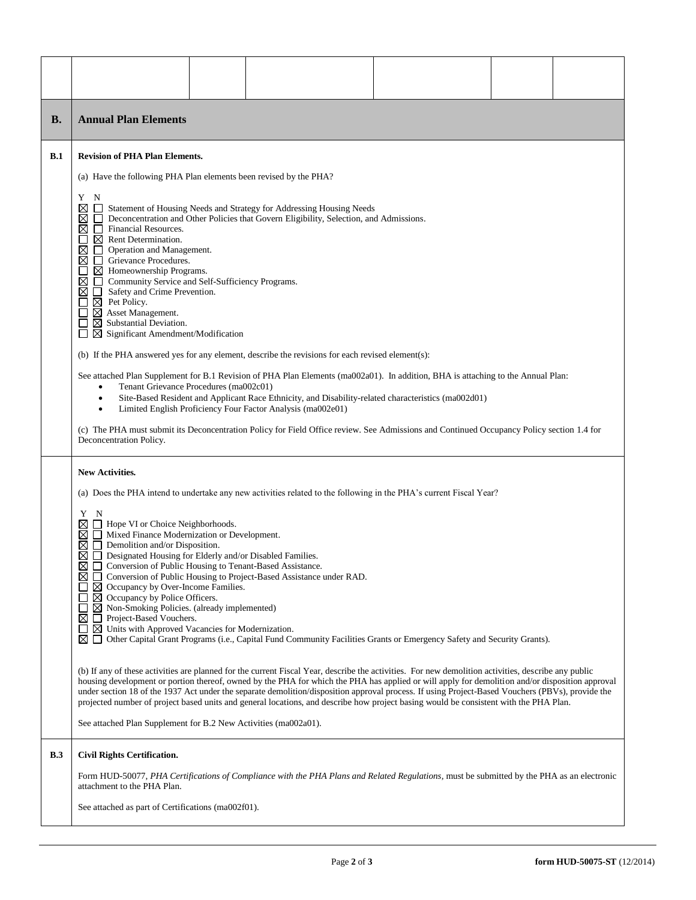| В.         | <b>Annual Plan Elements</b>                                                                                                                                                                                                                                                                                                                                                                                                                                                                                                                                                                                                                                                                                                                                                                                                                                                                                                                                                                                                                                                                                                                                                                                                                                                                                                                                                                                                                                                                                                                                                                               |  |                                                                                                                                            |  |  |  |  |  |
|------------|-----------------------------------------------------------------------------------------------------------------------------------------------------------------------------------------------------------------------------------------------------------------------------------------------------------------------------------------------------------------------------------------------------------------------------------------------------------------------------------------------------------------------------------------------------------------------------------------------------------------------------------------------------------------------------------------------------------------------------------------------------------------------------------------------------------------------------------------------------------------------------------------------------------------------------------------------------------------------------------------------------------------------------------------------------------------------------------------------------------------------------------------------------------------------------------------------------------------------------------------------------------------------------------------------------------------------------------------------------------------------------------------------------------------------------------------------------------------------------------------------------------------------------------------------------------------------------------------------------------|--|--------------------------------------------------------------------------------------------------------------------------------------------|--|--|--|--|--|
| <b>B.1</b> | <b>Revision of PHA Plan Elements.</b><br>(a) Have the following PHA Plan elements been revised by the PHA?<br>Y<br>N<br>⊠<br>Statement of Housing Needs and Strategy for Addressing Housing Needs<br>$\mathbf{L}$<br>Deconcentration and Other Policies that Govern Eligibility, Selection, and Admissions.<br>⊠<br>$\sqcup$<br>⊠<br>П<br>Financial Resources.<br>Rent Determination.<br>⊠<br>⊠<br>П<br>Operation and Management.<br>Grievance Procedures.<br>⊠<br>П<br>$\boxtimes$ Homeownership Programs.<br>$\boxtimes$<br>Community Service and Self-Sufficiency Programs.<br>П.<br>⊠<br>Safety and Crime Prevention.<br>$\Box$<br>$\boxtimes$ Pet Policy.<br>$\boxtimes$ Asset Management.<br>$\boxtimes$ Substantial Deviation.<br>$\blacksquare$<br>$\boxtimes$ Significant Amendment/Modification<br>(b) If the PHA answered yes for any element, describe the revisions for each revised element(s):<br>See attached Plan Supplement for B.1 Revision of PHA Plan Elements (ma002a01). In addition, BHA is attaching to the Annual Plan:<br>Tenant Grievance Procedures (ma002c01)                                                                                                                                                                                                                                                                                                                                                                                                                                                                                                               |  |                                                                                                                                            |  |  |  |  |  |
|            | Site-Based Resident and Applicant Race Ethnicity, and Disability-related characteristics (ma002d01)<br>$\bullet$<br>Limited English Proficiency Four Factor Analysis (ma002e01)<br>$\bullet$<br>(c) The PHA must submit its Deconcentration Policy for Field Office review. See Admissions and Continued Occupancy Policy section 1.4 for<br>Deconcentration Policy.                                                                                                                                                                                                                                                                                                                                                                                                                                                                                                                                                                                                                                                                                                                                                                                                                                                                                                                                                                                                                                                                                                                                                                                                                                      |  |                                                                                                                                            |  |  |  |  |  |
|            | New Activities.<br>(a) Does the PHA intend to undertake any new activities related to the following in the PHA's current Fiscal Year?<br>Y<br>N<br>⊠<br>Hope VI or Choice Neighborhoods.<br>Mixed Finance Modernization or Development.<br>⊠<br>Demolition and/or Disposition.<br>⊠<br>$\Box$<br>⊠<br>Designated Housing for Elderly and/or Disabled Families.<br>$\Box$<br>Conversion of Public Housing to Tenant-Based Assistance.<br>⊠<br>□ Conversion of Public Housing to Project-Based Assistance under RAD.<br>$\boxtimes$ Occupancy by Over-Income Families.<br>$\boxtimes$ Occupancy by Police Officers.<br>$\perp$<br>$\boxtimes$ Non-Smoking Policies. (already implemented)<br>Project-Based Vouchers.<br>⊠<br>$\Box$<br>$\boxtimes$ Units with Approved Vacancies for Modernization.<br>⊠ □ Other Capital Grant Programs (i.e., Capital Fund Community Facilities Grants or Emergency Safety and Security Grants).<br>(b) If any of these activities are planned for the current Fiscal Year, describe the activities. For new demolition activities, describe any public<br>housing development or portion thereof, owned by the PHA for which the PHA has applied or will apply for demolition and/or disposition approval<br>under section 18 of the 1937 Act under the separate demolition/disposition approval process. If using Project-Based Vouchers (PBVs), provide the<br>projected number of project based units and general locations, and describe how project basing would be consistent with the PHA Plan.<br>See attached Plan Supplement for B.2 New Activities (ma002a01). |  |                                                                                                                                            |  |  |  |  |  |
| B.3        | <b>Civil Rights Certification.</b><br>attachment to the PHA Plan.<br>See attached as part of Certifications (ma002f01).                                                                                                                                                                                                                                                                                                                                                                                                                                                                                                                                                                                                                                                                                                                                                                                                                                                                                                                                                                                                                                                                                                                                                                                                                                                                                                                                                                                                                                                                                   |  | Form HUD-50077, PHA Certifications of Compliance with the PHA Plans and Related Regulations, must be submitted by the PHA as an electronic |  |  |  |  |  |